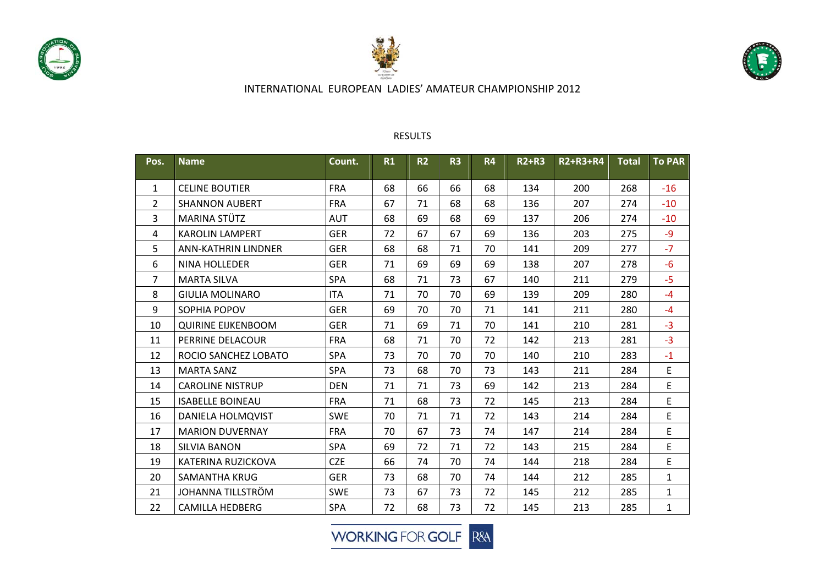

20

21

22

0 SAMANTHA KRUG

2 CAMILLA HEDBERG

JOHANNA TILLSTRÖM





# INTERNATIONAL EUROPEAN LADIES' AMATEUR CHAMPIONSHIP 2012

#### **Pos. Name Count. R1 R2 R3 R4 R2+R3 R2+R3+R4 Total To PAR**1 CELINE BOUTIER FRAA | 68 | 66 | 66 | 68 | 134 | 200 | 268 | -16 22 |SHANNON AUBERT |FRA | 67 | 71 | 68 | 68 | 136 | 207 | 274 | -10 3MARINA STÜTZ A STÜTZ | AUT | 68 | 69 | 69 | 137 | 206 | 274 | -10 4 KAROLIN LAMPERT GER 72 67 67 69 136 203 275 ‐9 55 |ANN-KATHRIN LINDNER | GER | 68 | 68 | 71 | 70 | 141 | 209 | 277 | -7 6 NINA HOLLEDER GER 71 69 69 69 138 207 278 ‐6 7**MARTA SILVA** A SILVA | SPA | 68 | 71 | 73 | 67 | 140 | 211 | 279 | -5 88 I GIULIA MOLINARO ITA 71 70 70 69 139 209 280 ‐4 9**SOPHIA POPOV** A POPOV | GER | 69 | 70 | 70 | 71 | 141 | 211 | 280 | -4 10QUIRINE EIJKENBOOM GER 71 | 69 | 71 | 70 | 141 | 210 | 281 | -3 11 PERRINE DELACOUR FRAA | 68 | 71 | 70 | 72 | 142 | 213 | 281 | -3 122 |ROCIO SANCHEZ LOBATO |SPA | 73 | 70 | 70 | 70 | 140 | 210 | 283 | -1 13**MARTA SANZ** A SANZ | SPA | 73 | 68 | 70 | 73 | 143 | 211 | 284 | E 14 CAROLINE NISTRUP DEN 71 71 73 69 142 213 284 E 15 ISABELLE BOINEAU FRA 71 68 73 72 145 213 284 E 166 |DANIELA HOLMQVIST |SWE | 70 | 71 | 71 | 72 | 143 | 214 | 284 | E 17 MARION DUVERNAY FRA 70 67 73 74 147 214 284 E 188 SILVIA BANON SPA 69 72 71 72 143 215 284 E 19KATERINA RUZICKOVA CZE 66 74 70 74 144 218 284 E

#### RESULTS

**WORKING FOR GOLF R&A** 

Ger 16ER 173 168 170 174 144 1212 1285 11

SWE 73 67 73 72 145 212 285 1

SPA 72 68 73 72 145 213 285 1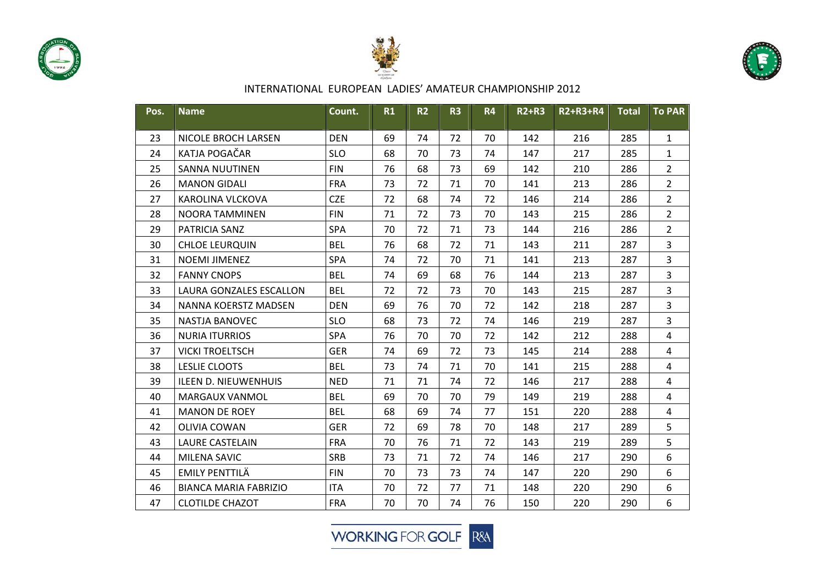





| Pos. | <b>Name</b>                  | Count.     | R1 | R <sub>2</sub> | R <sub>3</sub> | <b>R4</b> | <b>R2+R3</b> | R2+R3+R4 | <b>Total</b> | <b>To PAR</b>           |
|------|------------------------------|------------|----|----------------|----------------|-----------|--------------|----------|--------------|-------------------------|
| 23   | <b>NICOLE BROCH LARSEN</b>   | <b>DEN</b> | 69 | 74             | 72             | 70        | 142          | 216      | 285          | $\mathbf{1}$            |
| 24   | KATJA POGAČAR                | <b>SLO</b> | 68 | 70             | 73             | 74        | 147          | 217      | 285          | $\mathbf{1}$            |
| 25   | <b>SANNA NUUTINEN</b>        | <b>FIN</b> | 76 | 68             | 73             | 69        | 142          | 210      | 286          | $\overline{2}$          |
| 26   | <b>MANON GIDALI</b>          | <b>FRA</b> | 73 | 72             | 71             | 70        | 141          | 213      | 286          | $\overline{2}$          |
| 27   | KAROLINA VLCKOVA             | <b>CZE</b> | 72 | 68             | 74             | 72        | 146          | 214      | 286          | $\overline{2}$          |
| 28   | <b>NOORA TAMMINEN</b>        | <b>FIN</b> | 71 | 72             | 73             | 70        | 143          | 215      | 286          | $\overline{2}$          |
| 29   | PATRICIA SANZ                | SPA        | 70 | 72             | 71             | 73        | 144          | 216      | 286          | $\overline{2}$          |
| 30   | <b>CHLOE LEURQUIN</b>        | <b>BEL</b> | 76 | 68             | 72             | 71        | 143          | 211      | 287          | 3                       |
| 31   | <b>NOEMI JIMENEZ</b>         | <b>SPA</b> | 74 | 72             | 70             | 71        | 141          | 213      | 287          | 3                       |
| 32   | <b>FANNY CNOPS</b>           | <b>BEL</b> | 74 | 69             | 68             | 76        | 144          | 213      | 287          | $\overline{3}$          |
| 33   | LAURA GONZALES ESCALLON      | <b>BEL</b> | 72 | 72             | 73             | 70        | 143          | 215      | 287          | $\overline{3}$          |
| 34   | NANNA KOERSTZ MADSEN         | <b>DEN</b> | 69 | 76             | 70             | 72        | 142          | 218      | 287          | $\overline{\mathbf{3}}$ |
| 35   | <b>NASTJA BANOVEC</b>        | <b>SLO</b> | 68 | 73             | 72             | 74        | 146          | 219      | 287          | 3                       |
| 36   | <b>NURIA ITURRIOS</b>        | <b>SPA</b> | 76 | 70             | 70             | 72        | 142          | 212      | 288          | 4                       |
| 37   | <b>VICKI TROELTSCH</b>       | <b>GER</b> | 74 | 69             | 72             | 73        | 145          | 214      | 288          | $\overline{4}$          |
| 38   | <b>LESLIE CLOOTS</b>         | <b>BEL</b> | 73 | 74             | 71             | 70        | 141          | 215      | 288          | $\overline{4}$          |
| 39   | <b>ILEEN D. NIEUWENHUIS</b>  | <b>NED</b> | 71 | 71             | 74             | 72        | 146          | 217      | 288          | $\overline{4}$          |
| 40   | MARGAUX VANMOL               | <b>BEL</b> | 69 | 70             | 70             | 79        | 149          | 219      | 288          | $\overline{4}$          |
| 41   | <b>MANON DE ROEY</b>         | <b>BEL</b> | 68 | 69             | 74             | 77        | 151          | 220      | 288          | 4                       |
| 42   | <b>OLIVIA COWAN</b>          | <b>GER</b> | 72 | 69             | 78             | 70        | 148          | 217      | 289          | 5                       |
| 43   | <b>LAURE CASTELAIN</b>       | <b>FRA</b> | 70 | 76             | 71             | 72        | 143          | 219      | 289          | 5                       |
| 44   | MILENA SAVIC                 | <b>SRB</b> | 73 | 71             | 72             | 74        | 146          | 217      | 290          | 6                       |
| 45   | <b>EMILY PENTTILÄ</b>        | <b>FIN</b> | 70 | 73             | 73             | 74        | 147          | 220      | 290          | 6                       |
| 46   | <b>BIANCA MARIA FABRIZIO</b> | <b>ITA</b> | 70 | 72             | 77             | 71        | 148          | 220      | 290          | 6                       |
| 47   | <b>CLOTILDE CHAZOT</b>       | <b>FRA</b> | 70 | 70             | 74             | 76        | 150          | 220      | 290          | 6                       |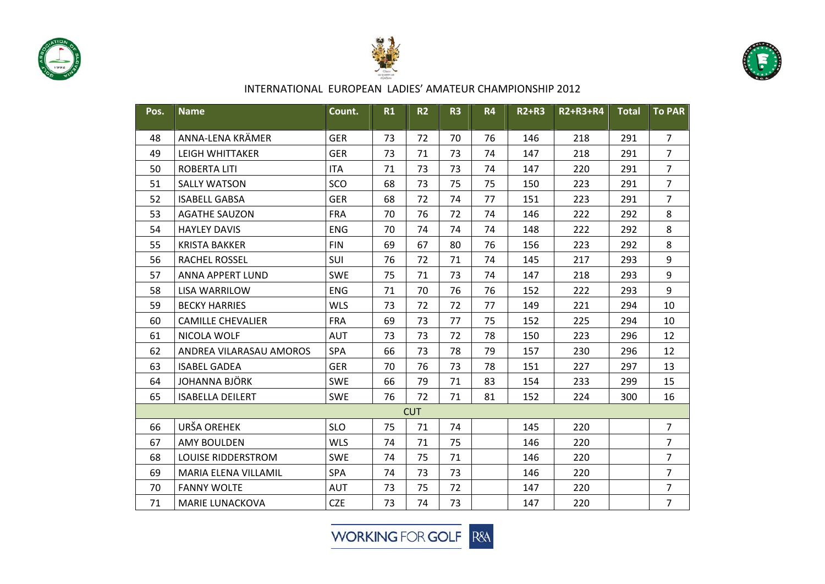





| Pos. | <b>Name</b>               | Count.     | R1 | R <sub>2</sub> | R <sub>3</sub> | <b>R4</b> | <b>R2+R3</b> | R2+R3+R4 | <b>Total</b> | <b>To PAR</b>  |
|------|---------------------------|------------|----|----------------|----------------|-----------|--------------|----------|--------------|----------------|
| 48   | ANNA-LENA KRÄMER          | <b>GER</b> | 73 | 72             | 70             | 76        | 146          | 218      | 291          | $\overline{7}$ |
| 49   | <b>LEIGH WHITTAKER</b>    | <b>GER</b> | 73 | 71             | 73             | 74        | 147          | 218      | 291          | $\overline{7}$ |
| 50   | <b>ROBERTA LITI</b>       | <b>ITA</b> | 71 | 73             | 73             | 74        | 147          | 220      | 291          | $\overline{7}$ |
| 51   | <b>SALLY WATSON</b>       | SCO        | 68 | 73             | 75             | 75        | 150          | 223      | 291          | $\overline{7}$ |
| 52   | <b>ISABELL GABSA</b>      | <b>GER</b> | 68 | 72             | 74             | 77        | 151          | 223      | 291          | $\overline{7}$ |
| 53   | <b>AGATHE SAUZON</b>      | <b>FRA</b> | 70 | 76             | 72             | 74        | 146          | 222      | 292          | 8              |
| 54   | <b>HAYLEY DAVIS</b>       | <b>ENG</b> | 70 | 74             | 74             | 74        | 148          | 222      | 292          | 8              |
| 55   | <b>KRISTA BAKKER</b>      | <b>FIN</b> | 69 | 67             | 80             | 76        | 156          | 223      | 292          | 8              |
| 56   | <b>RACHEL ROSSEL</b>      | <b>SUI</b> | 76 | 72             | 71             | 74        | 145          | 217      | 293          | 9              |
| 57   | <b>ANNA APPERT LUND</b>   | <b>SWE</b> | 75 | 71             | 73             | 74        | 147          | 218      | 293          | 9              |
| 58   | <b>LISA WARRILOW</b>      | <b>ENG</b> | 71 | 70             | 76             | 76        | 152          | 222      | 293          | 9              |
| 59   | <b>BECKY HARRIES</b>      | <b>WLS</b> | 73 | 72             | 72             | 77        | 149          | 221      | 294          | 10             |
| 60   | <b>CAMILLE CHEVALIER</b>  | <b>FRA</b> | 69 | 73             | 77             | 75        | 152          | 225      | 294          | 10             |
| 61   | NICOLA WOLF               | <b>AUT</b> | 73 | 73             | 72             | 78        | 150          | 223      | 296          | 12             |
| 62   | ANDREA VILARASAU AMOROS   | SPA        | 66 | 73             | 78             | 79        | 157          | 230      | 296          | 12             |
| 63   | <b>ISABEL GADEA</b>       | <b>GER</b> | 70 | 76             | 73             | 78        | 151          | 227      | 297          | 13             |
| 64   | <b>JOHANNA BJÖRK</b>      | <b>SWE</b> | 66 | 79             | 71             | 83        | 154          | 233      | 299          | 15             |
| 65   | <b>ISABELLA DEILERT</b>   | <b>SWE</b> | 76 | 72             | 71             | 81        | 152          | 224      | 300          | 16             |
|      |                           |            |    | <b>CUT</b>     |                |           |              |          |              |                |
| 66   | URŠA OREHEK               | <b>SLO</b> | 75 | 71             | 74             |           | 145          | 220      |              | $\overline{7}$ |
| 67   | <b>AMY BOULDEN</b>        | <b>WLS</b> | 74 | 71             | 75             |           | 146          | 220      |              | $\overline{7}$ |
| 68   | <b>LOUISE RIDDERSTROM</b> | <b>SWE</b> | 74 | 75             | 71             |           | 146          | 220      |              | $\overline{7}$ |
| 69   | MARIA ELENA VILLAMIL      | SPA        | 74 | 73             | 73             |           | 146          | 220      |              | $\overline{7}$ |
| 70   | <b>FANNY WOLTE</b>        | <b>AUT</b> | 73 | 75             | 72             |           | 147          | 220      |              | $\overline{7}$ |
| 71   | <b>MARIE LUNACKOVA</b>    | <b>CZE</b> | 73 | 74             | 73             |           | 147          | 220      |              | $\overline{7}$ |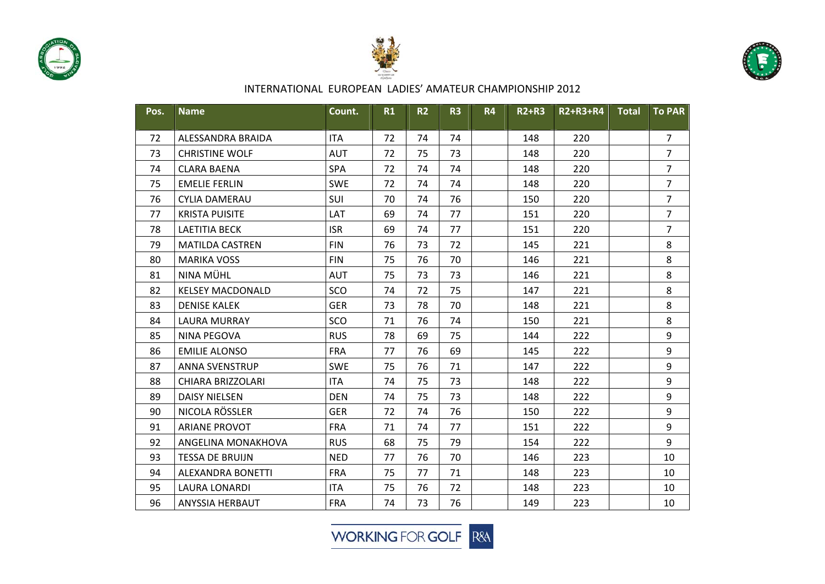





| Pos. | <b>Name</b>             | Count.     | R1 | <b>R2</b> | R <sub>3</sub> | <b>R4</b> | <b>R2+R3</b> | R2+R3+R4 | <b>Total</b> | <b>To PAR</b>  |
|------|-------------------------|------------|----|-----------|----------------|-----------|--------------|----------|--------------|----------------|
| 72   | ALESSANDRA BRAIDA       | <b>ITA</b> | 72 | 74        | 74             |           | 148          | 220      |              | $\overline{7}$ |
| 73   | <b>CHRISTINE WOLF</b>   | <b>AUT</b> | 72 | 75        | 73             |           | 148          | 220      |              | $\overline{7}$ |
| 74   | <b>CLARA BAENA</b>      | SPA        | 72 | 74        | 74             |           | 148          | 220      |              | $\overline{7}$ |
| 75   | <b>EMELIE FERLIN</b>    | <b>SWE</b> | 72 | 74        | 74             |           | 148          | 220      |              | $\overline{7}$ |
| 76   | <b>CYLIA DAMERAU</b>    | SUI        | 70 | 74        | 76             |           | 150          | 220      |              | $\overline{7}$ |
| 77   | <b>KRISTA PUISITE</b>   | LAT        | 69 | 74        | 77             |           | 151          | 220      |              | $\overline{7}$ |
| 78   | <b>LAETITIA BECK</b>    | <b>ISR</b> | 69 | 74        | 77             |           | 151          | 220      |              | $\overline{7}$ |
| 79   | <b>MATILDA CASTREN</b>  | <b>FIN</b> | 76 | 73        | 72             |           | 145          | 221      |              | 8              |
| 80   | <b>MARIKA VOSS</b>      | <b>FIN</b> | 75 | 76        | 70             |           | 146          | 221      |              | 8              |
| 81   | NINA MÜHL               | <b>AUT</b> | 75 | 73        | 73             |           | 146          | 221      |              | 8              |
| 82   | <b>KELSEY MACDONALD</b> | SCO        | 74 | 72        | 75             |           | 147          | 221      |              | 8              |
| 83   | <b>DENISE KALEK</b>     | <b>GER</b> | 73 | 78        | 70             |           | 148          | 221      |              | 8              |
| 84   | <b>LAURA MURRAY</b>     | SCO        | 71 | 76        | 74             |           | 150          | 221      |              | 8              |
| 85   | NINA PEGOVA             | <b>RUS</b> | 78 | 69        | 75             |           | 144          | 222      |              | 9              |
| 86   | <b>EMILIE ALONSO</b>    | <b>FRA</b> | 77 | 76        | 69             |           | 145          | 222      |              | 9              |
| 87   | <b>ANNA SVENSTRUP</b>   | <b>SWE</b> | 75 | 76        | 71             |           | 147          | 222      |              | 9              |
| 88   | CHIARA BRIZZOLARI       | <b>ITA</b> | 74 | 75        | 73             |           | 148          | 222      |              | 9              |
| 89   | <b>DAISY NIELSEN</b>    | <b>DEN</b> | 74 | 75        | 73             |           | 148          | 222      |              | $9\,$          |
| 90   | NICOLA RÖSSLER          | <b>GER</b> | 72 | 74        | 76             |           | 150          | 222      |              | 9              |
| 91   | <b>ARIANE PROVOT</b>    | <b>FRA</b> | 71 | 74        | 77             |           | 151          | 222      |              | 9              |
| 92   | ANGELINA MONAKHOVA      | <b>RUS</b> | 68 | 75        | 79             |           | 154          | 222      |              | 9              |
| 93   | <b>TESSA DE BRUIJN</b>  | <b>NED</b> | 77 | 76        | 70             |           | 146          | 223      |              | 10             |
| 94   | ALEXANDRA BONETTI       | <b>FRA</b> | 75 | 77        | 71             |           | 148          | 223      |              | 10             |
| 95   | <b>LAURA LONARDI</b>    | <b>ITA</b> | 75 | 76        | 72             |           | 148          | 223      |              | 10             |
| 96   | ANYSSIA HERBAUT         | <b>FRA</b> | 74 | 73        | 76             |           | 149          | 223      |              | 10             |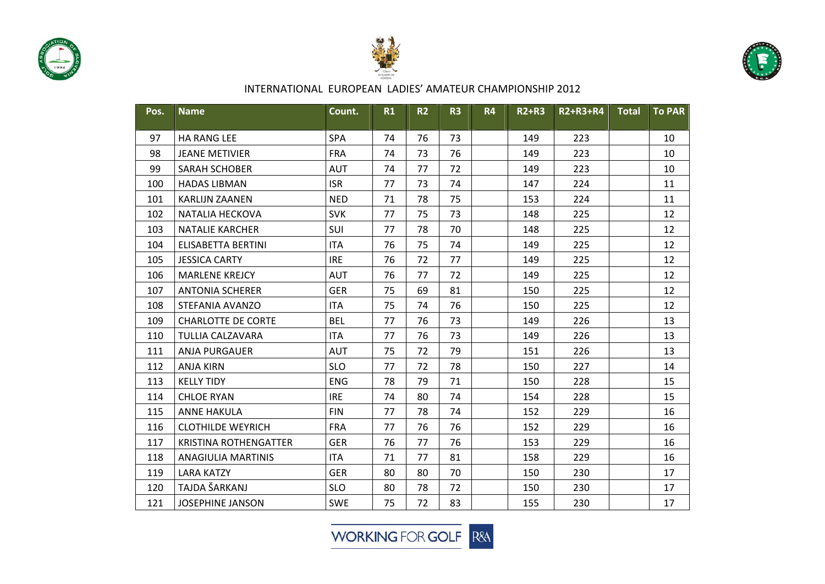





| Pos. | <b>Name</b>                  | Count.     | R1 | <b>R2</b> | R <sub>3</sub> | <b>R4</b> | <b>R2+R3</b> | R2+R3+R4 | <b>Total</b> | <b>To PAR</b> |
|------|------------------------------|------------|----|-----------|----------------|-----------|--------------|----------|--------------|---------------|
| 97   | <b>HA RANG LEE</b>           | SPA        | 74 | 76        | 73             |           | 149          | 223      |              | 10            |
| 98   | <b>JEANE METIVIER</b>        | <b>FRA</b> | 74 | 73        | 76             |           | 149          | 223      |              | 10            |
| 99   | <b>SARAH SCHOBER</b>         | <b>AUT</b> | 74 | 77        | 72             |           | 149          | 223      |              | 10            |
| 100  | <b>HADAS LIBMAN</b>          | <b>ISR</b> | 77 | 73        | 74             |           | 147          | 224      |              | 11            |
| 101  | <b>KARLIJN ZAANEN</b>        | <b>NED</b> | 71 | 78        | 75             |           | 153          | 224      |              | 11            |
| 102  | NATALIA HECKOVA              | <b>SVK</b> | 77 | 75        | 73             |           | 148          | 225      |              | 12            |
| 103  | <b>NATALIE KARCHER</b>       | SUI        | 77 | 78        | 70             |           | 148          | 225      |              | 12            |
| 104  | <b>ELISABETTA BERTINI</b>    | <b>ITA</b> | 76 | 75        | 74             |           | 149          | 225      |              | 12            |
| 105  | <b>JESSICA CARTY</b>         | <b>IRE</b> | 76 | 72        | 77             |           | 149          | 225      |              | 12            |
| 106  | <b>MARLENE KREJCY</b>        | <b>AUT</b> | 76 | 77        | 72             |           | 149          | 225      |              | 12            |
| 107  | <b>ANTONIA SCHERER</b>       | <b>GER</b> | 75 | 69        | 81             |           | 150          | 225      |              | 12            |
| 108  | STEFANIA AVANZO              | <b>ITA</b> | 75 | 74        | 76             |           | 150          | 225      |              | 12            |
| 109  | <b>CHARLOTTE DE CORTE</b>    | <b>BEL</b> | 77 | 76        | 73             |           | 149          | 226      |              | 13            |
| 110  | <b>TULLIA CALZAVARA</b>      | <b>ITA</b> | 77 | 76        | 73             |           | 149          | 226      |              | 13            |
| 111  | <b>ANJA PURGAUER</b>         | <b>AUT</b> | 75 | 72        | 79             |           | 151          | 226      |              | 13            |
| 112  | <b>ANJA KIRN</b>             | <b>SLO</b> | 77 | 72        | 78             |           | 150          | 227      |              | 14            |
| 113  | <b>KELLY TIDY</b>            | <b>ENG</b> | 78 | 79        | 71             |           | 150          | 228      |              | 15            |
| 114  | <b>CHLOE RYAN</b>            | <b>IRE</b> | 74 | 80        | 74             |           | 154          | 228      |              | 15            |
| 115  | <b>ANNE HAKULA</b>           | <b>FIN</b> | 77 | 78        | 74             |           | 152          | 229      |              | 16            |
| 116  | <b>CLOTHILDE WEYRICH</b>     | <b>FRA</b> | 77 | 76        | 76             |           | 152          | 229      |              | 16            |
| 117  | <b>KRISTINA ROTHENGATTER</b> | <b>GER</b> | 76 | 77        | 76             |           | 153          | 229      |              | 16            |
| 118  | ANAGIULIA MARTINIS           | <b>ITA</b> | 71 | 77        | 81             |           | 158          | 229      |              | 16            |
| 119  | <b>LARA KATZY</b>            | <b>GER</b> | 80 | 80        | 70             |           | 150          | 230      |              | 17            |
| 120  | TAJDA ŠARKANJ                | <b>SLO</b> | 80 | 78        | 72             |           | 150          | 230      |              | 17            |
| 121  | <b>JOSEPHINE JANSON</b>      | <b>SWE</b> | 75 | 72        | 83             |           | 155          | 230      |              | 17            |